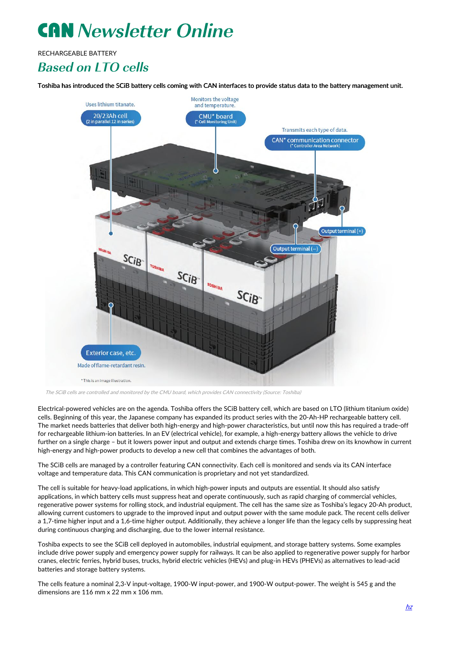## **CAN** Newsletter Online

RECHARGEABLE BATTERY

## Based on LTO cells

Toshiba has introduced the SCiB battery cells coming with CAN interfaces to provide status data to the battery management unit.



The SCiB cells are controlled and monitored by the CMU board, which provides CAN connectivity (Source: Toshiba)

Electrical-powered vehicles are on the agenda. Toshiba offers the SCiB battery cell, which are based on LTO (lithium titanium oxide) cells. Beginning of this year, the Japanese company has expanded its product series with the 20-Ah-HP rechargeable battery cell. The market needs batteries that deliver both high-energy and high-power characteristics, but until now this has required a trade-off for rechargeable lithium-ion batteries. In an EV (electrical vehicle), for example, a high-energy battery allows the vehicle to drive further on a single charge – but it lowers power input and output and extends charge times. Toshiba drew on its knowhow in current high-energy and high-power products to develop a new cell that combines the advantages of both.

The SCiB cells are managed by a controller featuring CAN connectivity. Each cell is monitored and sends via its CAN interface voltage and temperature data. This CAN communication is proprietary and not yet standardized.

The cell is suitable for heavy-load applications, in which high-power inputs and outputs are essential. It should also satisfy applications, in which battery cells must suppress heat and operate continuously, such as rapid charging of commercial vehicles, regenerative power systems for rolling stock, and industrial equipment. The cell has the same size as Toshiba's legacy 20-Ah product, allowing current customers to upgrade to the improved input and output power with the same module pack. The recent cells deliver a 1,7-time higher input and a 1,6-time higher output. Additionally, they achieve a longer life than the legacy cells by suppressing heat during continuous charging and discharging, due to the lower internal resistance.

Toshiba expects to see the SCiB cell deployed in automobiles, industrial equipment, and storage battery systems. Some examples include drive power supply and emergency power supply for railways. It can be also applied to regenerative power supply for harbor cranes, electric ferries, hybrid buses, trucks, hybrid electric vehicles (HEVs) and plug-in HEVs (PHEVs) as alternatives to lead-acid batteries and storage battery systems.

The cells feature a nominal 2,3-V input-voltage, 1900-W input-power, and 1900-W output-power. The weight is 545 g and the dimensions are 116 mm x 22 mm x 106 mm.